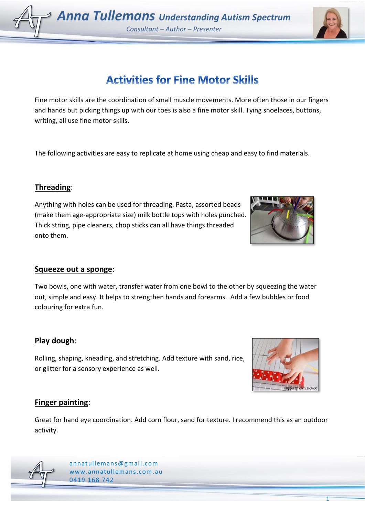1

# **Activities for Fine Motor Skills**

Fine motor skills are the coordination of small muscle movements. More often those in our fingers and hands but picking things up with our toes is also a fine motor skill. Tying shoelaces, buttons, writing, all use fine motor skills.

The following activities are easy to replicate at home using cheap and easy to find materials.

#### **Threading**:

Anything with holes can be used for threading. Pasta, assorted beads (make them age-appropriate size) milk bottle tops with holes punched. Thick string, pipe cleaners, chop sticks can all have things threaded onto them.

#### **Squeeze out a sponge**:

Two bowls, one with water, transfer water from one bowl to the other by squeezing the water out, simple and easy. It helps to strengthen hands and forearms. Add a few bubbles or food colouring for extra fun.

## **Play dough**:

Rolling, shaping, kneading, and stretching. Add texture with sand, rice, or glitter for a sensory experience as well.

## **Finger painting**:

Great for hand eye coordination. Add corn flour, sand for texture. I recommend this as an outdoor activity.



[annatullemans@gmail.com](mailto:annatullemans@gmail.com) [www.annatullemans.com.](http://www.annatullemans.com/)au 0419 168 742